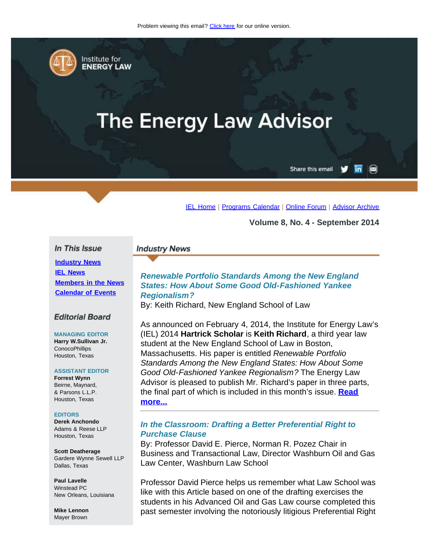<span id="page-0-0"></span>

Institute for **ENERGY LAW** 

# **The Energy Law Advisor**

Share this email in

 $\circledcirc$ 

[IEL Home](http://www.cailaw.org/institute-for-energy-law/index.html?utm_source=Informz&utm_medium=Email&utm_campaign=Event+Details) | [Programs Calendar](http://www.cailaw.org/institute-for-energy-law/programs-calendar.html?utm_source=Informz&utm_medium=Email&utm_campaign=Event+Details) | [Online Forum](http://www.linkedin.com/groups?homeNewMember=&gid=2370373&trk=&ut=0XojoQQoYP6ls1) | [Advisor Archive](http://www.cailaw.org/institute-for-energy-law/publications/energy-law-advisor.html?utm_source=Informz&utm_medium=Email&utm_campaign=Event+Details)

**Volume 8, No. 4 - September 2014**

#### In This Issue

**[Industry News](#page-0-0) [IEL News](#page-0-0) [Members in the News](#page-0-0) [Calendar of Events](#page-0-0)**

#### **Editorial Board**

#### **MANAGING EDITOR**

**Harry W.Sullivan Jr. ConocoPhillips** Houston, Texas

#### **ASSISTANT EDITOR**

**Forrest Wynn** Beirne, Maynard, & Parsons L.L.P. Houston, Texas

#### **EDITORS**

**Derek Anchondo** Adams & Reese LLP Houston, Texas

**Scott Deatherage** Gardere Wynne Sewell LLP Dallas, Texas

**Paul Lavelle** Winstead PC New Orleans, Louisiana

**Mike Lennon** Mayer Brown

# *Renewable Portfolio Standards Among the New England States: How About Some Good Old-Fashioned Yankee Regionalism?*

By: Keith Richard, New England School of Law

**Industry News** 

As announced on February 4, 2014, the Institute for Energy Law's (IEL) 2014 **Hartrick Scholar** is **Keith Richard**, a third year law student at the New England School of Law in Boston, Massachusetts. His paper is entitled *Renewable Portfolio Standards Among the New England States: How About Some Good Old-Fashioned Yankee Regionalism?* The Energy Law Advisor is pleased to publish Mr. Richard's paper in three parts, the final part of which is included in this month's issue. **[Read](http://www.cailaw.org/media/files/IEL/Publications/2014/ela-renewable-portfolio-vol8-no4.pdf) [more...](http://www.cailaw.org/media/files/IEL/Publications/2014/ela-renewable-portfolio-vol8-no4.pdf)**

#### *In the Classroom: Drafting a Better Preferential Right to Purchase Clause*

By: Professor David E. Pierce, Norman R. Pozez Chair in Business and Transactional Law, Director Washburn Oil and Gas Law Center, Washburn Law School

Professor David Pierce helps us remember what Law School was like with this Article based on one of the drafting exercises the students in his Advanced Oil and Gas Law course completed this past semester involving the notoriously litigious Preferential Right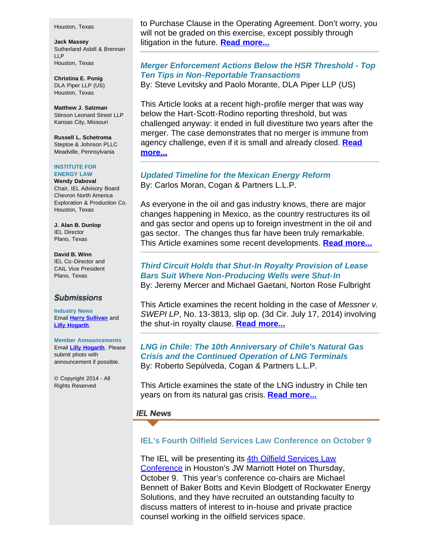#### Houston, Texas

**Jack Massey** Sutherland Asbill & Brennan LLP Houston, Texas

**Christina E. Ponig** DLA Piper LLP (US) Houston, Texas

**Matthew J. Salzman** Stinson Leonard Street LLP Kansas City, Missouri

**Russell L. Schetroma** Steptoe & Johnson PLLC Meadville, Pennsylvania

#### **INSTITUTE FOR ENERGY LAW**

**Wendy Daboval** Chair, IEL Advisory Board Chevron North America Exploration & Production Co. Houston, Texas

**J. Alan B. Dunlop** IEL Director Plano, Texas

**David B. Winn** IEL Co-Director and CAIL Vice President Plano, Texas

#### **Submissions**

**Industry News** Email **[Harry Sullivan](mailto:harry.w.sullivan@conocophillips.com)** and **[Lilly Hogarth](mailto:lhogarth@cailaw.org)**.

**Member Announcements** Email **[Lilly Hogarth](mailto:lhogarth@cailaw.org)**. Please submit photo with announcement if possible.

© Copyright 2014 - All Rights Reserved

to Purchase Clause in the Operating Agreement. Don't worry, you will not be graded on this exercise, except possibly through litigation in the future. **[Read more...](http://www.cailaw.org/media/files/IEL/Publications/2014/ela-preferential-rights-vol8-no4.pdf)**

# *Merger Enforcement Actions Below the HSR Threshold - Top Ten Tips in Non-Reportable Transactions*

By: Steve Levitsky and Paolo Morante, DLA Piper LLP (US)

This Article looks at a recent high-profile merger that was way below the Hart-Scott-Rodino reporting threshold, but was challenged anyway: it ended in full divestiture two years after the merger. The case demonstrates that no merger is immune from agency challenge, even if it is small and already closed. **[Read](http://www.cailaw.org/media/files/IEL/Publications/2014/ela-10-commandments-vol8-no4.pdf) [more...](http://www.cailaw.org/media/files/IEL/Publications/2014/ela-10-commandments-vol8-no4.pdf)**

### *Updated Timeline for the Mexican Energy Reform* By: Carlos Moran, Cogan & Partners L.L.P.

As everyone in the oil and gas industry knows, there are major changes happening in Mexico, as the country restructures its oil and gas sector and opens up to foreign investment in the oil and gas sector. The changes thus far have been truly remarkable. This Article examines some recent developments. **[Read more...](http://cailaw.informz.net/admin31/content/template.asp?sid=36161&ptid=799&brandid=3434&uid=781094093&mi=3620248&ps=36161)**

## *Third Circuit Holds that Shut-In Royalty Provision of Lease Bars Suit Where Non-Producing Wells were Shut-In* By: Jeremy Mercer and Michael Gaetani, Norton Rose Fulbright

This Article examines the recent holding in the case of *Messner v. SWEPI LP*, No. 13-3813, slip op. (3d Cir. July 17, 2014) involving the shut-in royalty clause. **[Read more...](http://www.cailaw.org/media/files/IEL/Publications/2014/ela-third-circuit-vol8-no4.pdf)**

*LNG in Chile: The 10th Anniversary of Chile's Natural Gas Crisis and the Continued Operation of LNG Terminals* By: Roberto Sepúlveda, Cogan & Partners L.L.P.

This Article examines the state of the LNG industry in Chile ten years on from its natural gas crisis. **[Read more...](http://www.cailaw.org/media/files/IEL/Publications/2014/ela-lng-chile-vol8-no4.pdf)**

## **IEL News**

## **IEL's Fourth Oilfield Services Law Conference on October 9**

The IEL will be presenting its 4th [Oilfield Services Law](http://www.cailaw.org/institute-for-energy-law/events/2014/oilfield-services-law-conference.html?utm_source=Informz&utm_medium=Email&utm_campaign=Event+Details) [Conference](http://www.cailaw.org/institute-for-energy-law/events/2014/oilfield-services-law-conference.html?utm_source=Informz&utm_medium=Email&utm_campaign=Event+Details) in Houston's JW Marriott Hotel on Thursday, October 9. This year's conference co-chairs are Michael Bennett of Baker Botts and Kevin Blodgett of Rockwater Energy Solutions, and they have recruited an outstanding faculty to discuss matters of interest to in-house and private practice counsel working in the oilfield services space.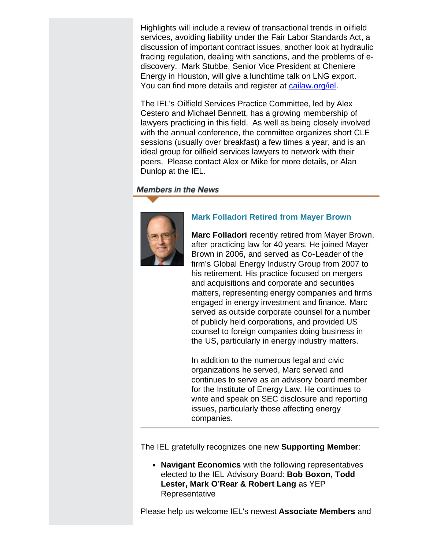Highlights will include a review of transactional trends in oilfield services, avoiding liability under the Fair Labor Standards Act, a discussion of important contract issues, another look at hydraulic fracing regulation, dealing with sanctions, and the problems of ediscovery. Mark Stubbe, Senior Vice President at Cheniere Energy in Houston, will give a lunchtime talk on LNG export. You can find more details and register at [cailaw.org/iel](http://www.cailaw.org/iel?utm_source=Informz&utm_medium=Email&utm_campaign=Event+Details).

The IEL's Oilfield Services Practice Committee, led by Alex Cestero and Michael Bennett, has a growing membership of lawyers practicing in this field. As well as being closely involved with the annual conference, the committee organizes short CLE sessions (usually over breakfast) a few times a year, and is an ideal group for oilfield services lawyers to network with their peers. Please contact Alex or Mike for more details, or Alan Dunlop at the IEL.

## **Members in the News**



# **Mark Folladori Retired from Mayer Brown**

**Marc Folladori** recently retired from Mayer Brown, after practicing law for 40 years. He joined Mayer Brown in 2006, and served as Co-Leader of the firm's Global Energy Industry Group from 2007 to his retirement. His practice focused on mergers and acquisitions and corporate and securities matters, representing energy companies and firms engaged in energy investment and finance. Marc served as outside corporate counsel for a number of publicly held corporations, and provided US counsel to foreign companies doing business in the US, particularly in energy industry matters.

In addition to the numerous legal and civic organizations he served, Marc served and continues to serve as an advisory board member for the Institute of Energy Law. He continues to write and speak on SEC disclosure and reporting issues, particularly those affecting energy companies.

The IEL gratefully recognizes one new **Supporting Member**:

**Navigant Economics** with the following representatives elected to the IEL Advisory Board: **Bob Boxon, Todd Lester, Mark O'Rear & Robert Lang** as YEP Representative

Please help us welcome IEL's newest **Associate Members** and